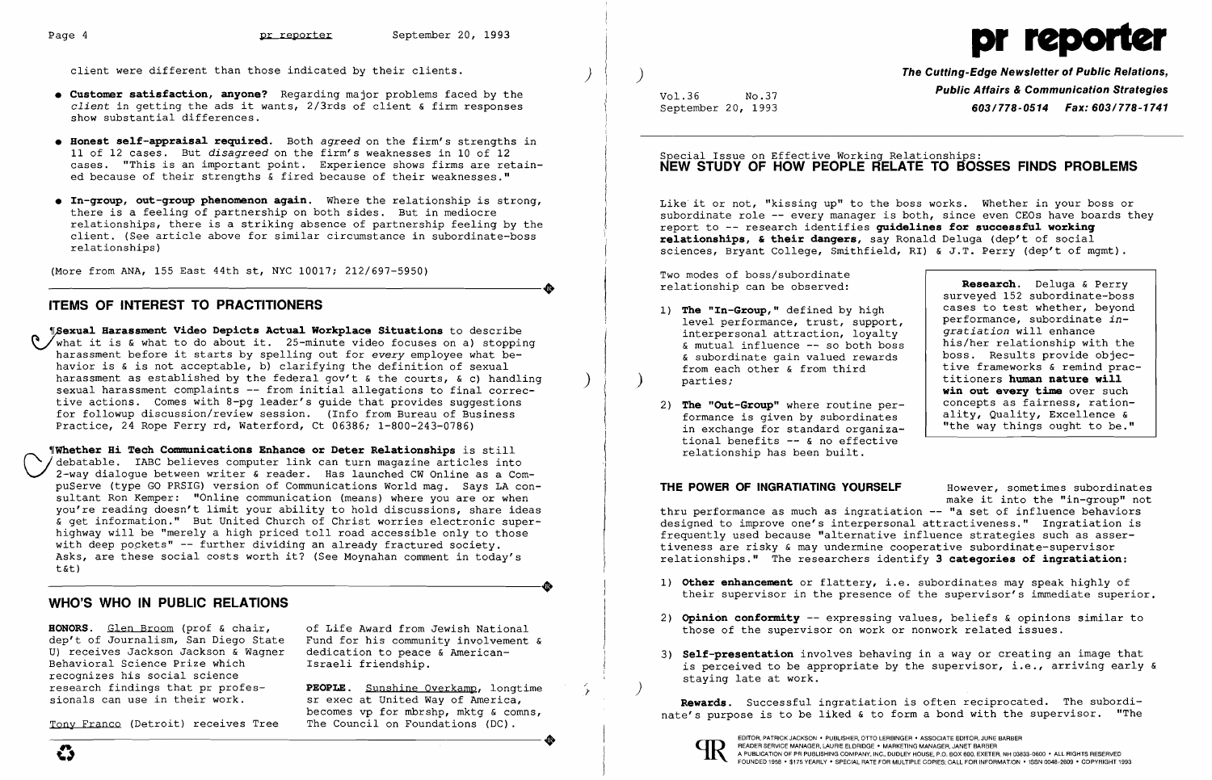client were different than those indicated by their clients.

- **• Customer satisfaction, anyone?** Regarding major problems faced by the *client* in getting the ads it wants, 2/3rds of client & firm responses show substantial differences.
- **• Honest se1f-appraisa1 required.** Both *agreed* on the firm's strengths in 11 of 12 cases. But *disagreed* on the firm's weaknesses in 10 of 12 cases. "This is an important point. Experience shows firms are retained because of their strengths & fired because of their weaknesses."
- **• In-group, out-group phenomenon again.** Where the relationship is strong, there is a feeling of partnership on both sides. But in mediocre relationships, there is a striking absence of partnership feeling by the client. (See article above for similar circumstance in subordinate-boss relationships)

(More from ANA, 155 East 44th st, NYC 10017; 212/697-5950) ----------------------+

### **ITEMS OF INTEREST TO PRACTITIONERS**

 ~exua1 **Harassment Video Depicts Actua1 Workp1ace Situations** to describe what it is & what to do about it. 25-minute video focuses on a) stopping harassment before it starts by spelling out for *every* employee what behavior is & is not acceptable, b) clarifying the definition of sexual harassment as established by the federal gov't & the courts, & c) handling sexual harassment complaints -- from initial allegations to final corrective actions. Comes with 8-pg leader's guide that provides suggestions for followup discussion/review session. (Info from Bureau of Business Practice, 24 Rope Ferry rd, Waterford, Ct 06386; 1-800-243-0786)

**The Cutting-Edge Newsletter of Public Relations, Public Affairs & Communication Strategies**<br>September 20, 1993 **Public Affairs & Communication Strategies**<br>**603/778-0514 Fax: 603/778-1741** September 20, 1993 *603/778-0514 Fax: 603/778-1741* 

### Special Issue on Effective Working Relationships: **NEW STUDY OF HOW PEOPLE RELATE TO BOSSES FINDS PROBLEMS**

Like it or not, "kissing up" to the boss works. Whether in your boss or subordinate role -- every manager is both, since even CEOs have boards they report to -- research identifies quidelines for successful working **re1ationships, & their dangers,** say Ronald Deluga (dep't of social sciences, Bryant College, Smithfield, RI) & J.T. Perry (dep't of mgmt) .

- 1) **The "In-Group,"** defined by high level performance, trust, support, interpersonal attraction, loyalty & mutual influence - so both boss & subordinate gain valued rewards from each other & from third parties;
- 2) **The "Out-Group"** where routine performance is given by subordinates in exchange for standard organizational benefits  $\in$  no effective relationship has been built.

~rWhether **Hi Tech Communications Enhance or Deter Re1ationships** is still ) debatable. IABC believes computer link can turn magazine articles into 2-way dialogue between writer & reader. Has launched CW Online as a CompuServe (type GO PRSIG) version of Communications World mag. Says LA consultant Ron Kemper: "Online communication (means) where you are or when you're reading doesn't limit your ability to hold discussions, share ideas & get information." But United Church of Christ worries electronic superhighway will be "merely a high priced toll road accessible only to those with deep pockets" -- further dividing an already fractured society. Asks, are these social costs worth it? (See Moynahan comment in today's ----------------------+ t&t)

### WHO'S WHO IN PUBLIC RELATIONS

**HONORS.** Glen Broom (prof & chair, of Life Award from Jewish National dep't of Journalism, San Diego State Fund for his community involvement U) receives Jackson Jackson & Wagner Behavioral Science Prize which recognizes his social science<br>research findings that pr profesresearch findings that pr profes-<br>sionals can use in their work.<br>sr exec at United Way of America,

Tony Franco (Detroit) receives Tree

Fund for his community involvement  $\&$ dedication to peace & American-Israeli friendship.

sionals can use in their work. So are executed and the May of America, becomes vp for mbrshp, mktg & comns,<br>The Council on Foundations (DC). sionals can use in their work. Some sexual united way of America,<br>becomes vp for mbrshp, mktg & comns,<br>Tony Franco (Detroit) receives Tree The Council on Foundations (DC).

 $\left( \right)$ 

 $\begin{picture}(20,20) \put(0,0){\vector(1,0){100}} \put(15,0){\vector(1,0){100}} \put(15,0){\vector(1,0){100}} \put(15,0){\vector(1,0){100}} \put(15,0){\vector(1,0){100}} \put(15,0){\vector(1,0){100}} \put(15,0){\vector(1,0){100}} \put(15,0){\vector(1,0){100}} \put(15,0){\vector(1,0){100}} \put(15,0){\vector(1,0){100}} \put(15,0){\vector(1,0){100}} \$ 

 $\zeta \qquad$  )

)

Two modes of boss/subordinate relationship can be observed:

|   | Research. Deluga & Perry       |
|---|--------------------------------|
|   | surveyed 152 subordinate-boss  |
|   | cases to test whether, beyond  |
| , | performance, subordinate in-   |
|   | gratiation will enhance        |
| s | his/her relationship with the  |
|   | boss. Results provide objec-   |
|   | tive frameworks & remind prac- |
|   | titioners human nature will    |
|   | win out every time over such   |
|   | concepts as fairness, ration-  |
|   | ality, Quality, Excellence &   |
|   | "the way things ought to be."  |

**THE POWER OF INGRATIATING YOURSELF** However, sometimes subordinates make it into the "in-group" not thru performance as much as ingratiation -- "a set of influence behaviors designed to improve one's interpersonal attractiveness." Ingratiation is frequently used because "alternative influence strategies such as assertiveness are risky & may undermine cooperative subordinate-supervisor relationships." The researchers identify **3 categories of ingratiation:** 

their supervisor in the presence of the supervisor's immediate superior.

2) **Opinion conformity** -- expressing values, beliefs & opinions similar to

- 1) **Other enhancement** or flattery, i.e. subordinates may speak highly of
- those of the supervisor on work or nonwork related issues.
- staying late at work.

3) **Se1f-presentation** involves behaving in a way or creating an image that is perceived to be appropriate by the supervisor, i.e., arriving early &

**Rewards.** Successful ingratiation is often reciprocated. The subordinate's purpose is to be liked & to form a bond with the supervisor. "The



# Page 4 **pr reporter** September 20, 1993